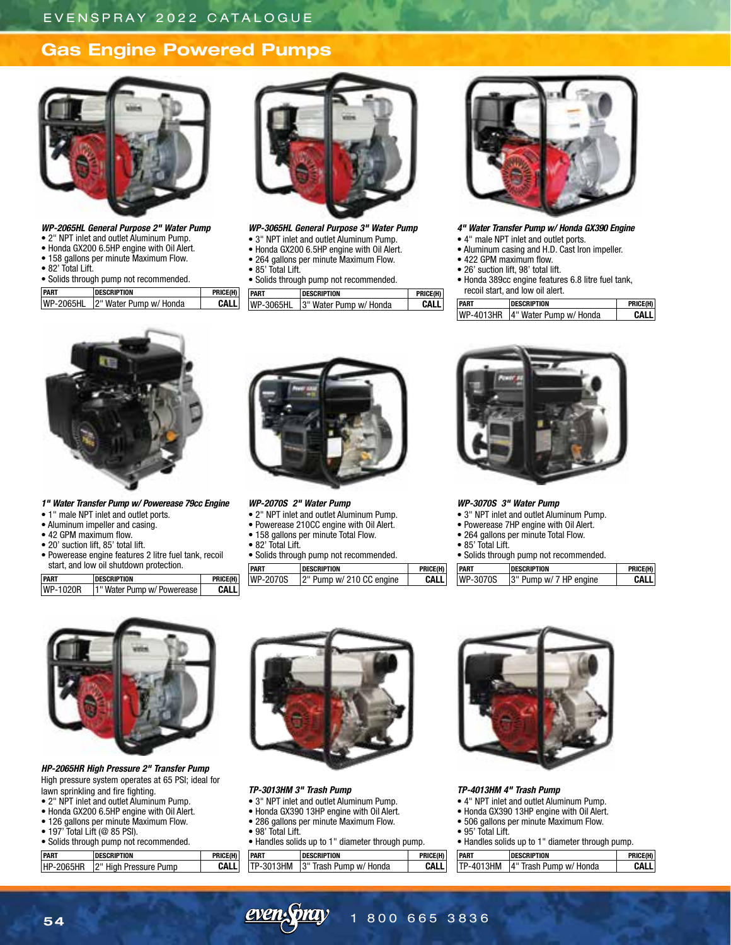# **Gas Engine Powered Pumps**



## *WP-2065HL General Purpose 2" Water Pump*

- 2" NPT inlet and outlet Aluminum Pump.
- Honda GX200 6.5HP engine with Oil Alert. • 158 gallons per minute Maximum Flow.
- 82' Total Lift.
- Solids through pump not recommended.

| <b>PART</b> | <b>DESCRIPTION</b>     | PRICE(H) |
|-------------|------------------------|----------|
| WP-2065HL   | 2" Water Pump w/ Honda |          |



### *WP-3065HL General Purpose 3" Water Pump* • 3" NPT inlet and outlet Aluminum Pump.

- Honda GX200 6.5HP engine with Oil Alert.
- 264 gallons per minute Maximum Flow.
- 85' Total Lift.
- Solids through pump not recommended.

| H) | <b>PART</b> | <b>DESCRIPTION</b>               | PRICE(H) |
|----|-------------|----------------------------------|----------|
|    |             | WP-3065HL 3" Water Pump w/ Honda | CΔI I    |



- *4" Water Transfer Pump w/ Honda GX390 Engine*
- 4" male NPT inlet and outlet ports.
- Aluminum casing and H.D. Cast Iron impeller.
- 422 GPM maximum flow.
- 26' suction lift, 98' total lift.
- Honda 389cc engine features 6.8 litre fuel tank, recoil start, and low oil alert.

| <b>PART</b> | <b>DESCRIPTION</b>                 | PRICE(H) |
|-------------|------------------------------------|----------|
|             | WP-4013HR   4" Water Pump w/ Honda | CALI     |



*1" Water Transfer Pump w/ Powerease 79cc Engine*

- 1" male NPT inlet and outlet ports.
- Aluminum impeller and casing.
- 42 GPM maximum flow.
- 20' suction lift, 85' total lift.
- Powerease engine features 2 litre fuel tank, recoil start, and low oil shutdown protection.

**PART DESCRIPTION PRICE(H)**<br>
WP-1020R 1" Water Pump w/ Powerease **CALL** 

1" Water Pump w/ Powerease **CALL** 

### *WP-2070S 2" Water Pump*

- 2" NPT inlet and outlet Aluminum Pump.
- Powerease 210CC engine with Oil Alert.
- 158 gallons per minute Total Flow.
- 82' Total Lift.
- Solids through pump not recommended.

| <b>PART</b> | <b>DESCRIPTION</b>          | <b>PRICE</b> |
|-------------|-----------------------------|--------------|
| WP-2070S    | $ 2"$ Pump w/ 210 CC engine | CAL          |



### *WP-3070S 3" Water Pump*

- 3" NPT inlet and outlet Aluminum Pump.
- Powerease 7HP engine with Oil Alert.
- 264 gallons per minute Total Flow.
- 85' Total Lift.

• Solids through pump not recommended.

| ł) |  | <b>DESCRIPTION</b>  | PRICE(H) |
|----|--|---------------------|----------|
| п  |  | Pump w/ 7 HP engine |          |



*HP-2065HR High Pressure 2" Transfer Pump* High pressure system operates at 65 PSI; ideal for lawn sprinkling and fire fighting.

- 2" NPT inlet and outlet Aluminum Pump.
- Honda GX200 6.5HP engine with Oil Alert.
- 126 gallons per minute Maximum Flow.
- 197' Total Lift (@ 85 PSI).
- Solids through pump not recommended.

| <b>PART</b> | <b>DESCRIPTION</b>    | PRICE(H) |
|-------------|-----------------------|----------|
| HP-2065HR   | 2" High Pressure Pump | CALL     |



### *TP-3013HM 3" Trash Pump*

- 3" NPT inlet and outlet Aluminum Pump.
- Honda GX390 13HP engine with Oil Alert.
- 286 gallons per minute Maximum Flow. • 98' Total Lift.
- Handles solids up to 1" diameter through pump.

| <b>IPART</b> | <b>DESCRIPTION</b>               | PRICE(H) |
|--------------|----------------------------------|----------|
|              | TP-3013HM 3" Trash Pump w/ Honda | CAL I    |



### *TP-4013HM 4" Trash Pump*

- 4" NPT inlet and outlet Aluminum Pump.
- Honda GX390 13HP engine with Oil Alert.
- 506 gallons per minute Maximum Flow.
- 95' Total Lift.
- Handles solids up to 1" diameter through pump.

| <b>PART</b> | <b>DESCRIPTION</b>               | PRICE(H) |
|-------------|----------------------------------|----------|
|             | TP-4013HM 4" Trash Pump w/ Honda | CAI I    |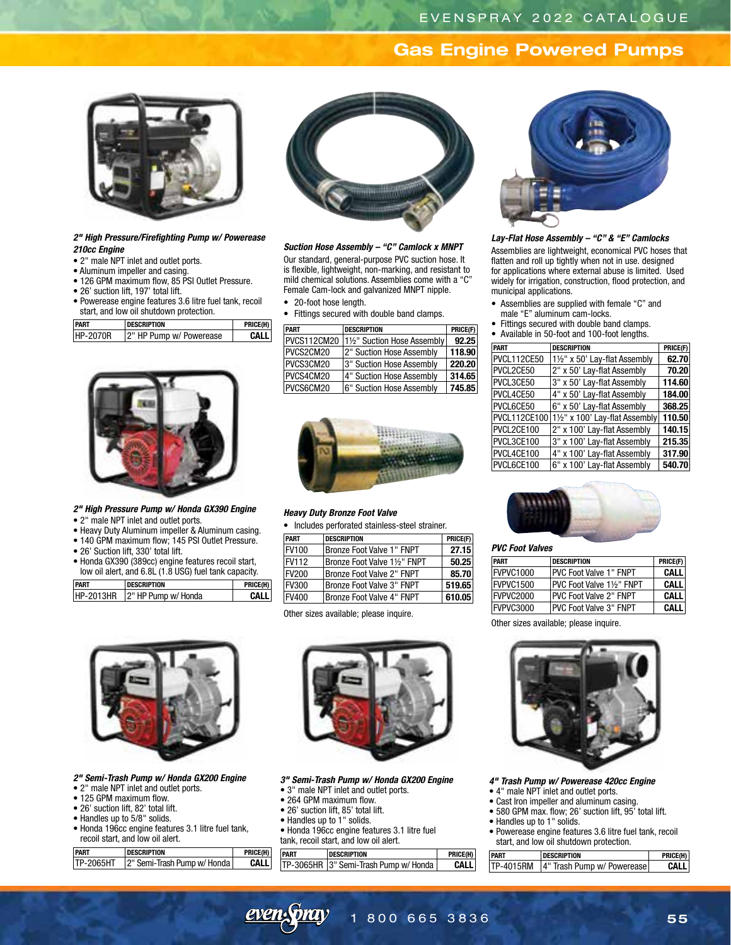# **Gas Engine Powered Pumps**



### *2" High Pressure/Firefighting Pump w/ Powerease 210cc Engine*

- 2" male NPT inlet and outlet ports.
- Aluminum impeller and casing.
- 126 GPM maximum flow, 85 PSI Outlet Pressure.
- 26' suction lift, 197' total lift.
- Powerease engine features 3.6 litre fuel tank, recoil start, and low oil shutdown protection.

| <b>PART</b> | <b>DESCRIPTION</b>      | PRICE(H) |
|-------------|-------------------------|----------|
| HP-2070R    | 2" HP Pump w/ Powerease | CALL     |



### *2" High Pressure Pump w/ Honda GX390 Engine*

- 2" male NPT inlet and outlet ports.
- Heavy Duty Aluminum impeller & Aluminum casing.
- 140 GPM maximum flow; 145 PSI Outlet Pressure.
- 26' Suction lift, 330' total lift.
- Honda GX390 (389cc) engine features recoil start, low oil alert, and 6.8L (1.8 USG) fuel tank capacity.

| <b>PART</b> | <b>DESCRIPTION</b>            | PRICE(H) |
|-------------|-------------------------------|----------|
|             | HP-2013HR 2" HP Pump w/ Honda | CALL     |



*Suction Hose Assembly – "C" Camlock x MNPT* Our standard, general-purpose PVC suction hose. It is flexible, lightweight, non-marking, and resistant to

mild chemical solutions. Assemblies come with a "C" Female Cam-lock and galvanized MNPT nipple. • 20-foot hose length.

• Fittings secured with double band clamps.

| <b>PART</b> | <b>DESCRIPTION</b>        | PRICE(F) |
|-------------|---------------------------|----------|
| PVCS112CM20 | 1½" Suction Hose Assembly | 92.25    |
| PVCS2CM20   | 2" Suction Hose Assembly  | 118.90   |
| PVCS3CM20   | 3" Suction Hose Assembly  | 220.20   |
| PVCS4CM20   | 4" Suction Hose Assembly  | 314.65   |
| PVCS6CM20   | 6" Suction Hose Assembly  | 745.85   |



### *Heavy Duty Bronze Foot Valve*

• Includes perforated stainless-steel strainer.

| PART          | <b>DESCRIPTION</b>         | PRICE(F) |
|---------------|----------------------------|----------|
| <b>IFV100</b> | Bronze Foot Valve 1" FNPT  | 27.15    |
| FV112         | Bronze Foot Valve 1½" FNPT | 50.25    |
| <b>FV200</b>  | Bronze Foot Valve 2" FNPT  | 85.70    |
| FV300         | Bronze Foot Valve 3" FNPT  | 519.65   |
| <b>FV400</b>  | Bronze Foot Valve 4" FNPT  | 610.05   |

Other sizes available; please inquire.



*2" Semi-Trash Pump w/ Honda GX200 Engine*

- 2" male NPT inlet and outlet ports.
- 125 GPM maximum flow.
- 26' suction lift, 82' total lift.
- Handles up to 5/8" solids.
- Honda 196cc engine features 3.1 litre fuel tank, recoil start, and low oil alert.

| <b>PART</b>       | <b>DESCRIPTION</b>          | PRICE(H) |
|-------------------|-----------------------------|----------|
| <b>ITP-2065HT</b> | 2" Semi-Trash Pump w/ Honda | CALL     |



*3" Semi-Trash Pump w/ Honda GX200 Engine*

- 3" male NPT inlet and outlet ports.
- 264 GPM maximum flow.
- 26' suction lift, 85' total lift.
- Handles up to 1" solids.
- Honda 196cc engine features 3.1 litre fuel tank, recoil start, and low oil alert.

| <b>PART</b> | <b>DESCRIPTION</b>                      | PRICE(H) |
|-------------|-----------------------------------------|----------|
|             | TP-3065HR   3" Semi-Trash Pump w/ Honda | CALL     |



#### *Lay-Flat Hose Assembly – "C" & "E" Camlocks*

Assemblies are lightweight, economical PVC hoses that flatten and roll up tightly when not in use. designed for applications where external abuse is limited. Used widely for irrigation, construction, flood protection, and municipal applications.

- Assemblies are supplied with female "C" and male "E" aluminum cam-locks.
- Fittings secured with double band clamps.
- Available in 50-foot and 100-foot lengths.

| <b>PART</b>  | <b>DESCRIPTION</b>             | PRICE(F) |
|--------------|--------------------------------|----------|
| PVCL112CE50  | 11/2" x 50' Lay-flat Assembly  | 62.70    |
| PVCL2CE50    | 2" x 50' Lay-flat Assembly     | 70.20    |
| PVCL3CE50    | 3" x 50' Lay-flat Assembly     | 114.60   |
| PVCL4CE50    | 4" x 50' Lay-flat Assembly     | 184.00   |
| PVCL6CE50    | 6" x 50' Lay-flat Assembly     | 368.25   |
| PVCL112CE100 | 11/2" x 100' Lay-flat Assembly | 110.50   |
| PVCL2CE100   | 2" x 100' Lay-flat Assembly    | 140.15   |
| PVCL3CE100   | 3" x 100' Lay-flat Assembly    | 215.35   |
| PVCL4CE100   | 4" x 100' Lay-flat Assembly    | 317.90   |
| PVCL6CE100   | 6" x 100' Lay-flat Assembly    | 540.70   |



### *PVC Foot Valves*

| <b>PART</b> | <b>DESCRIPTION</b>             | PRICE(F)    |
|-------------|--------------------------------|-------------|
| FVPVC1000   | <b>IPVC Foot Valve 1" FNPT</b> | <b>CALL</b> |
| FVPVC1500   | IPVC Foot Valve 11/2" FNPT     | <b>CALL</b> |
| FVPVC2000   | <b>IPVC Foot Valve 2" FNPT</b> | CALL        |
| FVPVC3000   | IPVC Foot Valve 3" FNPT        | CALL        |

Other sizes available; please inquire.



*4" Trash Pump w/ Powerease 420cc Engine*

- 4" male NPT inlet and outlet ports.
- Cast Iron impeller and aluminum casing.
- 580 GPM max. flow; 26' suction lift, 95' total lift.
- Handles up to 1" solids.
- Powerease engine features 3.6 litre fuel tank, recoil start, and low oil shutdown protection.

| <b>PART</b> | <b>DESCRIPTION</b>                     | PRICE(H) |
|-------------|----------------------------------------|----------|
|             | TP-4015RM   4" Trash Pump w/ Powerease | CALI     |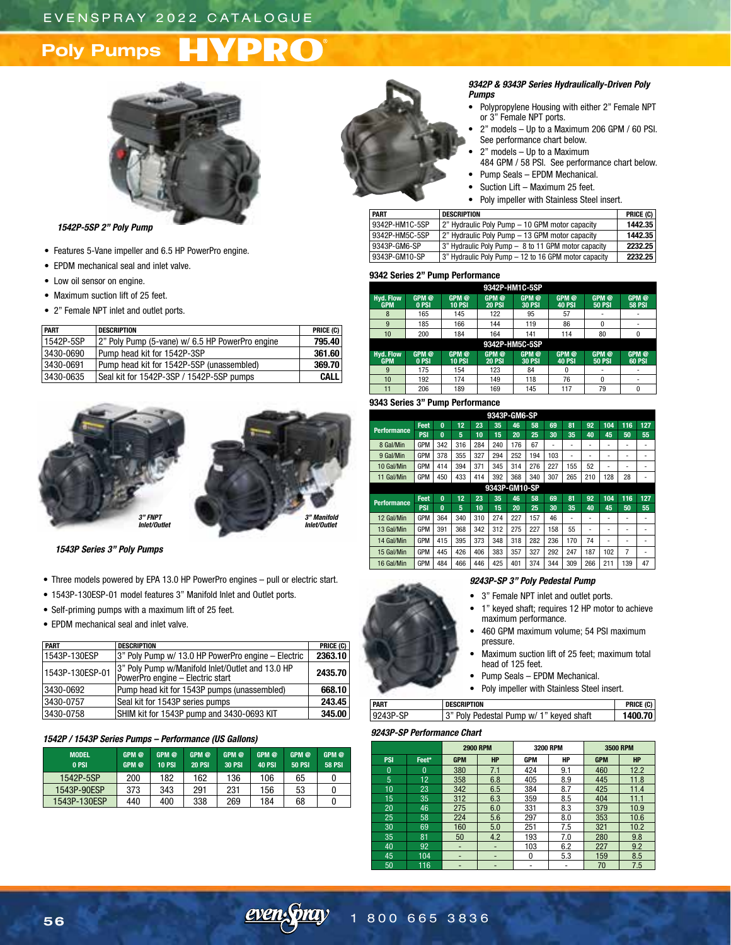# **Poly Pumps**



*1542P-5SP 2" Poly Pump*

- Features 5-Vane impeller and 6.5 HP PowerPro engine.
- EPDM mechanical seal and inlet valve.
- Low oil sensor on engine.
- Maximum suction lift of 25 feet.
- 2" Female NPT inlet and outlet ports.

| <b>PART</b> | <b>DESCRIPTION</b>                              | PRICE (C)   |
|-------------|-------------------------------------------------|-------------|
| 1542P-5SP   | 2" Poly Pump (5-vane) w/ 6.5 HP PowerPro engine | 795.40      |
| 3430-0690   | Pump head kit for 1542P-3SP                     | 361.60      |
| 3430-0691   | Pump head kit for 1542P-5SP (unassembled)       | 369.70      |
| 3430-0635   | Seal kit for 1542P-3SP / 1542P-5SP pumps        | <b>CALL</b> |



*1543P Series 3" Poly Pumps*

- Three models powered by EPA 13.0 HP PowerPro engines pull or electric start.
- 1543P-130ESP-01 model features 3" Manifold Inlet and Outlet ports.
- Self-priming pumps with a maximum lift of 25 feet.
- EPDM mechanical seal and inlet valve.

| <b>PART</b>     | <b>DESCRIPTION</b>                                                                   | PRICE (C) |
|-----------------|--------------------------------------------------------------------------------------|-----------|
| 1543P-130ESP    | 3" Poly Pump w/ 13.0 HP PowerPro engine – Electric                                   | 2363.10   |
| 1543P-130ESP-01 | 3" Poly Pump w/Manifold Inlet/Outlet and 13.0 HP<br>PowerPro engine - Electric start | 2435.70   |
| 3430-0692       | Pump head kit for 1543P pumps (unassembled)                                          | 668.10    |
| 3430-0757       | Seal kit for 1543P series pumps                                                      | 243.45    |
| 3430-0758       | SHIM kit for 1543P pump and 3430-0693 KIT                                            | 345.00    |

### *1542P / 1543P Series Pumps – Performance (US Gallons)*

| <b>MODEL</b><br>0 PSI | GPM <sub>®</sub><br>GPM @ | GPM @<br><b>10 PSI</b> | GPM @<br><b>20 PSI</b> | GPM @<br><b>30 PSI</b> | GPM @<br><b>40 PSI</b> | GPM @<br><b>50 PSI</b> | GPM @<br><b>58 PSI</b> |
|-----------------------|---------------------------|------------------------|------------------------|------------------------|------------------------|------------------------|------------------------|
| 1542P-5SP             | 200                       | 182                    | 162                    | 136                    | 106                    | 65                     |                        |
| 1543P-90ESP           | 373                       | 343                    | 291                    | 231                    | 156                    | 53                     |                        |
| 1543P-130ESP          | 440                       | 400                    | 338                    | 269                    | 184                    | 68                     |                        |



#### *9342P & 9343P Series Hydraulically-Driven Poly Pumps*

- Polypropylene Housing with either 2" Female NPT or 3" Female NPT ports.
- 2" models Up to a Maximum 206 GPM / 60 PSI. See performance chart below.
- 2" models Up to a Maximum
- 484 GPM / 58 PSI. See performance chart below. • Pump Seals – EPDM Mechanical.
- Suction Lift Maximum 25 feet.
- Poly impeller with Stainless Steel insert.

| <b>PART</b>    | <b>DESCRIPTION</b>                                   | PRICE $(C)$ |
|----------------|------------------------------------------------------|-------------|
| 9342P-HM1C-5SP | 2" Hydraulic Poly Pump - 10 GPM motor capacity       | 1442.35     |
| 9342P-HM5C-5SP | 2" Hydraulic Poly Pump – 13 GPM motor capacity       | 1442.35     |
| 9343P-GM6-SP   | 3" Hydraulic Poly Pump - 8 to 11 GPM motor capacity  | 2232.25     |
| 9343P-GM10-SP  | 3" Hydraulic Poly Pump - 12 to 16 GPM motor capacity | 2232.25     |

### **9342 Series 2" Pump Performance**

| 9342P-HM1C-5SP                                                                                                                                                                                                                                |                |                        |                        |                                   |                        |                        |                                   |  |  |  |  |
|-----------------------------------------------------------------------------------------------------------------------------------------------------------------------------------------------------------------------------------------------|----------------|------------------------|------------------------|-----------------------------------|------------------------|------------------------|-----------------------------------|--|--|--|--|
| <b>Hyd. Flow</b><br><b>GPM</b>                                                                                                                                                                                                                | GPM @<br>0 PSI | GPM @<br><b>10 PSI</b> | GPM @<br><b>20 PSI</b> | GPM <sup>@</sup><br><b>30 PSI</b> | GPM @<br><b>40 PSI</b> | GPM @<br><b>50 PSI</b> | GPM <sup>@</sup><br><b>58 PSI</b> |  |  |  |  |
| 8                                                                                                                                                                                                                                             | 165            | 145                    | 122                    | 95                                | 57                     |                        |                                   |  |  |  |  |
| 9                                                                                                                                                                                                                                             | 185            | 166                    | 144                    | 119                               | 86                     | 0                      |                                   |  |  |  |  |
| 10                                                                                                                                                                                                                                            | 200<br>184     |                        |                        | 141<br>164<br>114                 |                        |                        | 0                                 |  |  |  |  |
|                                                                                                                                                                                                                                               |                |                        | 9342P-HM5C-5SP         |                                   |                        |                        |                                   |  |  |  |  |
| GPM <sup>@</sup><br><b>Hyd. Flow</b><br>GPM <sup>@</sup><br>GPM @<br>GPM @<br>GPM @<br>GPM @<br>GPM <sup>@</sup><br><b>GPM</b><br>0 PSI<br><b>10 PSI</b><br><b>30 PSI</b><br><b>40 PSI</b><br><b>60 PSI</b><br><b>20 PSI</b><br><b>50 PSI</b> |                |                        |                        |                                   |                        |                        |                                   |  |  |  |  |
|                                                                                                                                                                                                                                               |                |                        |                        |                                   |                        |                        |                                   |  |  |  |  |
| 9                                                                                                                                                                                                                                             | 175            | 154                    | 123                    | 84                                | O                      |                        |                                   |  |  |  |  |
| 10                                                                                                                                                                                                                                            | 192            | 174                    | 149                    | 118                               | 76                     | 0                      | ٠                                 |  |  |  |  |

### **9343 Series 3" Pump Performance**

| 9343P-GM6-SP       |            |          |     |     |               |     |     |     |     |     |     |     |                          |
|--------------------|------------|----------|-----|-----|---------------|-----|-----|-----|-----|-----|-----|-----|--------------------------|
| <b>Performance</b> | Feet       | $\bf{0}$ | 12  | 23  | 35            | 46  | 58  | 69  | 81  | 92  | 104 | 116 | 127                      |
|                    | <b>PSI</b> | $\bf{0}$ | 5   | 10  | 15            | 20  | 25  | 30  | 35  | 40  | 45  | 50  | 55                       |
| 8 Gal/Min          | <b>GPM</b> | 342      | 316 | 284 | 240           | 176 | 67  | ۰   | ۰   | ٠   | ۰   | ۰   | ٠                        |
| 9 Gal/Min          | <b>GPM</b> | 378      | 355 | 327 | 294           | 252 | 194 | 103 | ٠   | -   | -   | ۰   | ٠                        |
| 10 Gal/Min         | <b>GPM</b> | 414      | 394 | 371 | 345           | 314 | 276 | 227 | 155 | 52  | -   | -   | ۰                        |
| 11 Gal/Min         | <b>GPM</b> | 450      | 433 | 414 | 392           | 368 | 340 | 307 | 265 | 210 | 128 | 28  |                          |
|                    |            |          |     |     | 9343P-GM10-SP |     |     |     |     |     |     |     |                          |
| <b>Performance</b> | Feet       | $\bf{0}$ | 12  | 23  | 35            | 46  | 58  | 69  | 81  | 92  | 104 | 116 | 127                      |
|                    | <b>PSI</b> | $\bf{0}$ | 5   | 10  | 15            | 20  | 25  | 30  | 35  | 40  | 45  | 50  | 55                       |
| 12 Gal/Min         | <b>GPM</b> | 364      | 340 | 310 | 274           | 227 | 157 | 46  | ۰   | -   | ۰   | ۰   | ٠                        |
| 13 Gal/Min         | <b>GPM</b> | 391      | 368 | 342 | 312           | 275 | 227 | 158 | 55  | -   |     |     |                          |
| 14 Gal/Min         | <b>GPM</b> | 415      | 395 | 373 | 348           | 318 | 282 | 236 | 170 | 74  | ٠   | -   | $\overline{\phantom{0}}$ |
| 15 Gal/Min         | <b>GPM</b> | 445      | 426 | 406 | 383           | 357 | 327 | 292 | 247 | 187 | 102 | 7   | ۰                        |
| 16 Gal/Min         | <b>GPM</b> | 484      | 466 | 446 | 425           | 401 | 374 | 344 | 309 | 266 | 211 | 139 | 47                       |

### *9243P-SP 3" Poly Pedestal Pump*

- 3" Female NPT inlet and outlet ports.
- 1" keyed shaft; requires 12 HP motor to achieve maximum performance.
- 460 GPM maximum volume; 54 PSI maximum pressure.
- Maximum suction lift of 25 feet; maximum total head of 125 feet.
- Pump Seals EPDM Mechanical.
- Poly impeller with Stainless Steel insert.

| <b>PART</b> | <b>DESCRIPTION</b>                       | PRICE (C) |
|-------------|------------------------------------------|-----------|
| 9243P-SP    | 13" Poly Pedestal Pump w/ 1" keved shaft | 1400.70   |
|             |                                          |           |

### *9243P-SP Performance Chart*

|            |          |            | <b>2900 RPM</b> | <b>3200 RPM</b> |     |            | <b>3500 RPM</b> |
|------------|----------|------------|-----------------|-----------------|-----|------------|-----------------|
| <b>PSI</b> | Feet*    | <b>GPM</b> | <b>HP</b>       | <b>GPM</b>      | HP  | <b>GPM</b> | <b>HP</b>       |
| $\Omega$   | $\Omega$ | 380        | 7.1             | 424             | 9.1 | 460        | 12.2            |
| 5          | 12       | 358        | 6.8             | 405             | 8.9 | 445        | 11.8            |
| 10         | 23       | 342        | 6.5             | 384             | 8.7 | 425        | 11.4            |
| 15         | 35       | 312        | 6.3             | 359             | 8.5 | 404        | 11.1            |
| 20         | 46       | 275        | 6.0             | 331             | 8.3 | 379        | 10.9            |
| 25         | 58       | 224        | 5.6             | 297             | 8.0 | 353        | 10.6            |
| 30         | 69       | 160        | 5.0             | 251             | 7.5 | 321        | 10.2            |
| 35         | 81       | 50         | 4.2             | 193             | 7.0 | 280        | 9.8             |
| 40         | 92       |            | -               | 103             | 6.2 | 227        | 9.2             |
| 45         | 104      | -          | ٠               | 0               | 5.3 | 159        | 8.5             |
| 50         | 116      |            |                 | -               |     | 70         | 7.5             |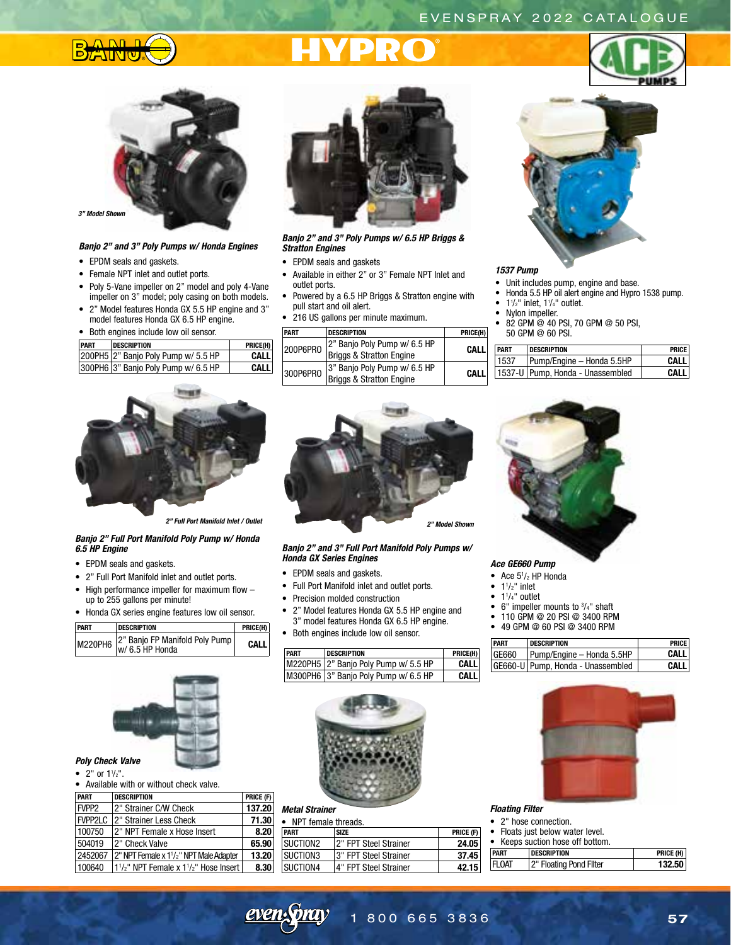# EVENSPRAY 2022 CATALOGUE



# **PRC**





### $3"$  Model Shov

### *Banjo 2" and 3" Poly Pumps w/ Honda Engines*

- EPDM seals and gaskets.
- Female NPT inlet and outlet ports.
- Poly 5-Vane impeller on 2" model and poly 4-Vane impeller on 3" model; poly casing on both models.
- 2" Model features Honda GX 5.5 HP engine and 3" model features Honda GX 6.5 HP engine.

### • Both engines include low oil sensor.

| PART | <b>DESCRIPTION</b>                  | PRICE(H) |
|------|-------------------------------------|----------|
|      | 200PH5 2" Banjo Poly Pump w/ 5.5 HP | CALL     |
|      | 300PH6 3" Banjo Poly Pump w/ 6.5 HP | CALL     |



*Banjo 2" and 3" Poly Pumps w/ 6.5 HP Briggs & Stratton Engines*

- EPDM seals and gaskets
- Available in either 2" or 3" Female NPT Inlet and outlet ports.
- Powered by a 6.5 HP Briggs & Stratton engine with pull start and oil alert.
- 216 US gallons per minute maximum.

| <b>PART</b> | <b>DESCRIPTION</b>                                       | PRICE(H) |
|-------------|----------------------------------------------------------|----------|
| 200P6PR0    | 2" Banjo Poly Pump w/ 6.5 HP<br>Briggs & Stratton Engine | CAI I    |
| 300P6PRO    | 3" Banjo Poly Pump w/ 6.5 HP<br>Briggs & Stratton Engine | CAI I    |



### *1537 Pump*

- Unit includes pump, engine and base.
- Honda 5.5 HP oil alert engine and Hypro 1538 pump.
- $\bullet$  1<sup>1</sup>/<sub>2</sub>" inlet, 1<sup>1</sup>/<sub>4</sub>" outlet.
- Nylon impeller.
- 82 GPM @ 40 PSI, 70 GPM @ 50 PSI, 50 GPM @ 60 PSI.

| <b>PART</b> | <b>DESCRIPTION</b>                 | <b>PRICE</b> |
|-------------|------------------------------------|--------------|
| 1537        | Pump/Engine - Honda 5.5HP          | CAI I        |
|             | 1537-U   Pump, Honda - Unassembled | CΔI I        |



*2" Full Port Manifold Inlet / Outlet*

### *Banjo 2" Full Port Manifold Poly Pump w/ Honda 6.5 HP Engine*

- EPDM seals and gaskets.
- 2" Full Port Manifold inlet and outlet ports.
- High performance impeller for maximum flow up to 255 gallons per minute!
- Honda GX series engine features low oil sensor.

| <b>PART</b> | <b>DESCRIPTION</b>                                                                | PRICE(H)    |
|-------------|-----------------------------------------------------------------------------------|-------------|
|             | $\left  \right $ M220PH6 $\left  \right _{W/6.5}^{2}$ Banjo FP Manifold Poly Pump | <b>CALL</b> |



### • 2" or  $1\frac{1}{2}$ ".

• Available with or without check valve.

| <b>PART</b>       | <b>DESCRIPTION</b>                                                                       | PRICE (F) |
|-------------------|------------------------------------------------------------------------------------------|-----------|
| FVPP <sub>2</sub> | 2" Strainer C/W Check                                                                    | 137.20    |
| FVPP2LC           | 2" Strainer Less Check                                                                   | 71.30     |
| 100750            | 2" NPT Female x Hose Insert                                                              | 8.20      |
| 504019            | 12" Check Valve                                                                          | 65.90     |
| 2452067           | 2" NPT Female x 1 <sup>1</sup> / <sub>2</sub> " NPT Male Adapter                         | 13.20     |
| 100640            | 1 <sup>1</sup> / <sub>2</sub> " NPT Female x 1 <sup>1</sup> / <sub>2</sub> " Hose Insert | 8.30      |



### *Banjo 2" and 3" Full Port Manifold Poly Pumps w/ Honda GX Series Engines*

- EPDM seals and gaskets.
- Full Port Manifold inlet and outlet ports.
- Precision molded construction
- 2" Model features Honda GX 5.5 HP engine and 3" mode
- $\bullet$  Both eng

|      | 3" model features Honda GX 6.5 HP engine.<br>Both engines include low oil sensor. |          |
|------|-----------------------------------------------------------------------------------|----------|
| PART | <b>DESCRIPTION</b>                                                                | PRICE(H) |
|      | M220PH5 2" Banjo Poly Pump w/ 5.5 HP                                              | CALL     |
|      | M300PH6 3" Banjo Poly Pump w/ 6.5 HP                                              | CALL     |



## *Metal Strainer*

| NPT female threads. |                        |           |
|---------------------|------------------------|-----------|
| <b>PART</b>         | <b>SIZE</b>            | PRICE (F) |
| SUCTION2            | 2" FPT Steel Strainer  | 24.05     |
| SUCTION3            | 13" FPT Steel Strainer | 37.45     |
| <b>SUCTION4</b>     | 4" FPT Steel Strainer  | 42.15     |



### *Ace GE660 Pump*

- Ace 51 /2 HP Honda
- $\bullet$  1<sup>1</sup>/<sub>2</sub>" inlet
- $\bullet$  1<sup>1</sup>/<sub>4</sub>" outlet
- 6" impeller mounts to 3 /4" shaft
- 110 GPM @ 20 PSI @ 3400 RPM
- 49 GPM @ 60 PSI @ 3400 RPM

| PART  | <b>DESCRIPTION</b>                  | <b>PRICE</b> |
|-------|-------------------------------------|--------------|
| GE660 | Pump/Engine - Honda 5.5HP           | <b>CALL</b>  |
|       | GE660-U   Pump, Honda - Unassembled | <b>CALL</b>  |



### *Floating Filter*

- 2" hose connection.
- Floats just below water level.

|  |  |  |  |  | • Keeps suction hose off bottom. |  |
|--|--|--|--|--|----------------------------------|--|
|--|--|--|--|--|----------------------------------|--|

| <b>PART</b>   | <b>DESCRIPTION</b>      | PRICE (H) |
|---------------|-------------------------|-----------|
| <b>IFLOAT</b> | 2" Floating Pond Filter | 132.50    |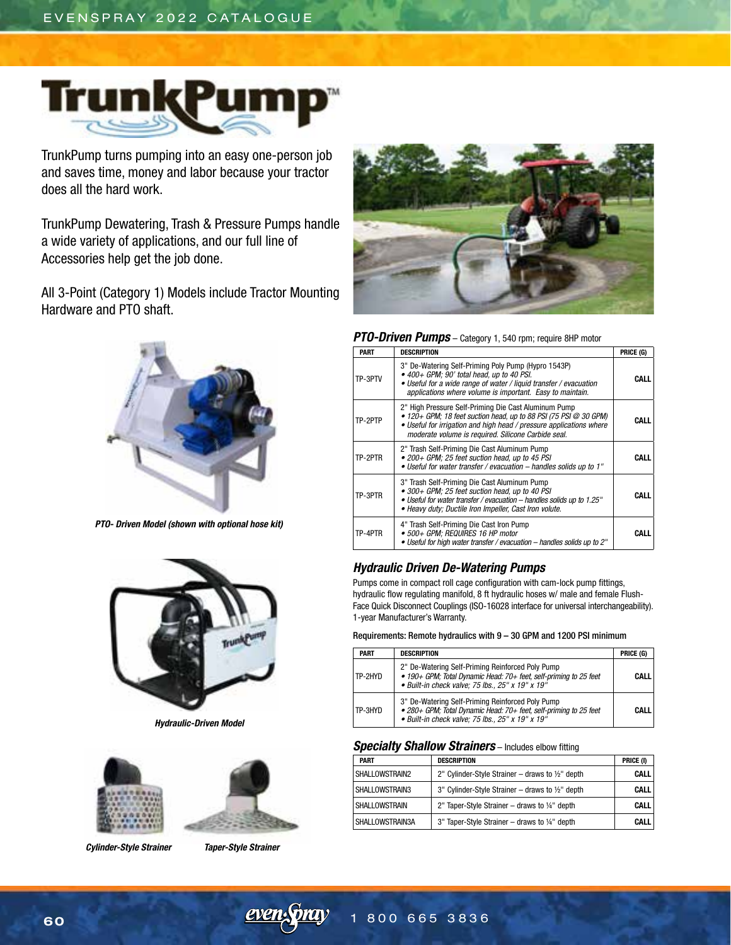

TrunkPump turns pumping into an easy one-person job and saves time, money and labor because your tractor does all the hard work.

TrunkPump Dewatering, Trash & Pressure Pumps handle a wide variety of applications, and our full line of Accessories help get the job done.

All 3-Point (Category 1) Models include Tractor Mounting Hardware and PTO shaft.



*PTO- Driven Model (shown with optional hose kit)*



*Hydraulic-Driven Model*



 *Cylinder-Style Strainer Taper-Style Strainer*



*PTO-Driven Pumps* – Category 1, 540 rpm; require 8HP motor

| <b>PART</b> | <b>DESCRIPTION</b>                                                                                                                                                                                                                                             | PRICE (G) |
|-------------|----------------------------------------------------------------------------------------------------------------------------------------------------------------------------------------------------------------------------------------------------------------|-----------|
| TP-3PTV     | 3" De-Watering Self-Priming Poly Pump (Hypro 1543P)<br>• 400+ GPM; 90' total head, up to 40 PSI.<br>• Useful for a wide range of water / liquid transfer / evacuation<br>applications where volume is important. Easy to maintain.                             |           |
| TP-2PTP     | 2" High Pressure Self-Priming Die Cast Aluminum Pump<br>$\bullet$ 120+ GPM; 18 feet suction head, up to 88 PSI (75 PSI @ 30 GPM)<br>• Useful for irrigation and high head / pressure applications where<br>moderate volume is required. Silicone Carbide seal. | CALL      |
| TP-2PTR     | 2" Trash Self-Priming Die Cast Aluminum Pump<br>• 200+ GPM; 25 feet suction head, up to 45 PSI<br>• Useful for water transfer / evacuation - handles solids up to 1"                                                                                           | CALL      |
| TP-3PTR     | 3" Trash Self-Priming Die Cast Aluminum Pump<br>• 300+ GPM; 25 feet suction head, up to 40 PSI<br>• Useful for water transfer / evacuation - handles solids up to 1.25"<br>• Heavy duty; Ductile Iron Impeller, Cast Iron volute.                              | CALL      |
| TP-4PTR     | 4" Trash Self-Priming Die Cast Iron Pump<br>• 500+ GPM: REQUIRES 16 HP motor<br>• Useful for high water transfer / evacuation - handles solids up to 2"                                                                                                        | CALL      |

## *Hydraulic Driven De-Watering Pumps*

Pumps come in compact roll cage configuration with cam-lock pump fittings, hydraulic flow regulating manifold, 8 ft hydraulic hoses w/ male and female Flush-Face Quick Disconnect Couplings (ISO-16028 interface for universal interchangeability). 1-year Manufacturer's Warranty.

Requirements: Remote hydraulics with 9 – 30 GPM and 1200 PSI minimum

| <b>PART</b> | <b>DESCRIPTION</b>                                                                                                                                                                | PRICE (G)   |
|-------------|-----------------------------------------------------------------------------------------------------------------------------------------------------------------------------------|-------------|
| TP-2HYD     | 2" De-Watering Self-Priming Reinforced Poly Pump<br>• 190+ GPM; Total Dynamic Head: 70+ feet, self-priming to 25 feet<br>$\bullet$ Built-in check valve; 75 lbs., 25" x 19" x 19" | <b>CALL</b> |
| TP-3HYD     | 3" De-Watering Self-Priming Reinforced Poly Pump<br>• 280+ GPM; Total Dynamic Head: 70+ feet, self-priming to 25 feet<br>• Built-in check valve: 75 lbs., $25''$ x 19" x 19"      | <b>CALL</b> |

## *Specialty Shallow Strainers* – Includes elbow fitting

| <b>PART</b>     | <b>DESCRIPTION</b>                                          | PRICE (I)   |
|-----------------|-------------------------------------------------------------|-------------|
| SHALLOWSTRAIN2  | 2" Cylinder-Style Strainer – draws to $\frac{1}{2}$ " depth | <b>CALL</b> |
| SHALLOWSTRAIN3  | 3" Cylinder-Style Strainer – draws to $\frac{1}{2}$ " depth | <b>CALL</b> |
| SHALLOWSTRAIN   | 2" Taper-Style Strainer – draws to $1/4$ " depth            | <b>CALL</b> |
| SHALLOWSTRAIN3A | 3" Taper-Style Strainer – draws to 1/4" depth               | CALL        |